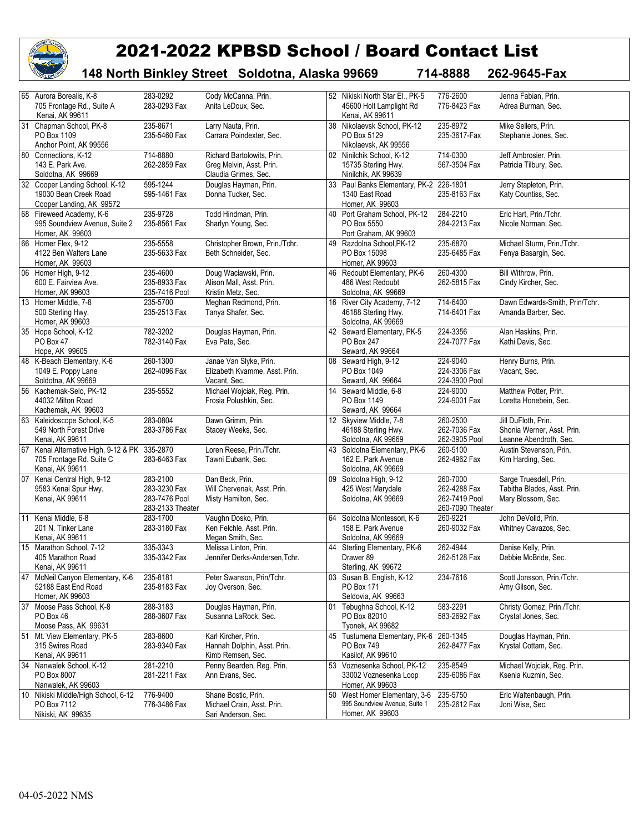

## 2021-2022 KPBSD School / Board Contact List

**148 North Binkley Street Soldotna, Alaska 99669 714-8888 262-9645-Fax**

|    | 65 Aurora Borealis, K-8<br>705 Frontage Rd., Suite A<br>Kenai, AK 99611                      | 283-0292<br>283-0293 Fax                                      | Cody McCanna, Prin.<br>Anita LeDoux, Sec.                                      |    | 52 Nikiski North Star El., PK-5<br>45600 Holt Lamplight Rd<br>Kenai, AK 99611  | 776-2600<br>776-8423 Fax                                      | Jenna Fabian, Prin.<br>Adrea Burman, Sec.                                   |
|----|----------------------------------------------------------------------------------------------|---------------------------------------------------------------|--------------------------------------------------------------------------------|----|--------------------------------------------------------------------------------|---------------------------------------------------------------|-----------------------------------------------------------------------------|
|    | 31 Chapman School, PK-8<br>PO Box 1109<br>Anchor Point, AK 99556                             | 235-8671<br>235-5460 Fax                                      | Larry Nauta, Prin.<br>Carrara Poindexter, Sec.                                 | 38 | Nikolaevsk School, PK-12<br>PO Box 5129<br>Nikolaevsk, AK 99556                | 235-8972<br>235-3617-Fax                                      | Mike Sellers, Prin.<br>Stephanie Jones, Sec.                                |
|    | 80 Connections, K-12<br>143 E. Park Ave.<br>Soldotna, AK 99669                               | 714-8880<br>262-2859 Fax                                      | Richard Bartolowits, Prin.<br>Greg Melvin, Asst. Prin.<br>Claudia Grimes, Sec. |    | 02 Ninilchik School, K-12<br>15735 Sterling Hwy.<br>Ninilchik, AK 99639        | 714-0300<br>567-3504 Fax                                      | Jeff Ambrosier, Prin.<br>Patricia Tilbury, Sec.                             |
|    | 32 Cooper Landing School, K-12<br>19030 Bean Creek Road<br>Cooper Landing, AK 99572          | 595-1244<br>595-1461 Fax                                      | Douglas Hayman, Prin.<br>Donna Tucker, Sec.                                    | 33 | Paul Banks Elementary, PK-2 226-1801<br>1340 East Road<br>Homer, AK 99603      | 235-8163 Fax                                                  | Jerry Stapleton, Prin.<br>Katy Countiss, Sec.                               |
|    | 68 Fireweed Academy, K-6<br>995 Soundview Avenue, Suite 2<br>Homer, AK 99603                 | 235-9728<br>235-8561 Fax                                      | Todd Hindman, Prin.<br>Sharlyn Young, Sec.                                     | 40 | Port Graham School, PK-12<br>PO Box 5550<br>Port Graham, AK 99603              | 284-2210<br>284-2213 Fax                                      | Eric Hart, Prin./Tchr.<br>Nicole Norman, Sec.                               |
|    | 66 Homer Flex, 9-12<br>4122 Ben Walters Lane<br>Homer, AK 99603                              | 235-5558<br>235-5633 Fax                                      | Christopher Brown, Prin./Tchr.<br>Beth Schneider, Sec.                         | 49 | Razdolna School, PK-12<br>PO Box 15098<br>Homer, AK 99603                      | 235-6870<br>235-6485 Fax                                      | Michael Sturm, Prin./Tchr.<br>Fenya Basargin, Sec.                          |
|    | 06 Homer High, 9-12<br>600 E. Fairview Ave.<br>Homer, AK 99603                               | 235-4600<br>235-8933 Fax<br>235-7416 Pool                     | Doug Waclawski, Prin.<br>Alison Mall, Asst. Prin.<br>Kristin Metz, Sec.        | 46 | Redoubt Elementary, PK-6<br>486 West Redoubt<br>Soldotna, AK 99669             | 260-4300<br>262-5815 Fax                                      | Bill Withrow, Prin.<br>Cindy Kircher, Sec.                                  |
|    | 13 Homer Middle, 7-8<br>500 Sterling Hwy.<br>Homer, AK 99603                                 | 235-5700<br>235-2513 Fax                                      | Meghan Redmond, Prin.<br>Tanya Shafer, Sec.                                    |    | 16 River City Academy, 7-12<br>46188 Sterling Hwy.<br>Soldotna, AK 99669       | 714-6400<br>714-6401 Fax                                      | Dawn Edwards-Smith, Prin/Tchr.<br>Amanda Barber, Sec.                       |
|    | 35 Hope School, K-12<br>PO Box 47<br>Hope, AK 99605                                          | 782-3202<br>782-3140 Fax                                      | Douglas Hayman, Prin.<br>Eva Pate, Sec.                                        |    | 42 Seward Elementary, PK-5<br>PO Box 247<br>Seward, AK 99664                   | 224-3356<br>224-7077 Fax                                      | Alan Haskins, Prin.<br>Kathi Davis, Sec.                                    |
|    | 48 K-Beach Elementary, K-6<br>1049 E. Poppy Lane<br>Soldotna, AK 99669                       | 260-1300<br>262-4096 Fax                                      | Janae Van Slyke, Prin.<br>Elizabeth Kvamme, Asst. Prin.<br>Vacant. Sec.        | 08 | Seward High, 9-12<br>PO Box 1049<br>Seward, AK 99664                           | 224-9040<br>224-3306 Fax<br>224-3900 Pool                     | Henry Burns, Prin.<br>Vacant, Sec.                                          |
|    | 56 Kachemak-Selo, PK-12<br>44032 Milton Road<br>Kachemak, AK 99603                           | 235-5552                                                      | Michael Wojciak, Reg. Prin.<br>Frosia Polushkin, Sec.                          | 14 | Seward Middle, 6-8<br>PO Box 1149<br>Seward, AK 99664                          | 224-9000<br>224-9001 Fax                                      | Matthew Potter, Prin.<br>Loretta Honebein, Sec.                             |
|    | 63 Kaleidoscope School, K-5<br>549 North Forest Drive<br>Kenai, AK 99611                     | 283-0804<br>283-3786 Fax                                      | Dawn Grimm, Prin.<br>Stacey Weeks, Sec.                                        |    | 12 Skyview Middle, 7-8<br>46188 Sterling Hwy.<br>Soldotna, AK 99669            | 260-2500<br>262-7036 Fax<br>262-3905 Pool                     | Jill DuFloth, Prin.<br>Shonia Werner, Asst. Prin.<br>Leanne Abendroth, Sec. |
|    | 67 Kenai Alternative High, 9-12 & PK 335-2870<br>705 Frontage Rd. Suite C<br>Kenai, AK 99611 | 283-6463 Fax                                                  | Loren Reese, Prin./Tchr.<br>Tawni Eubank, Sec.                                 | 43 | Soldotna Elementary, PK-6<br>162 E. Park Avenue<br>Soldotna, AK 99669          | 260-5100<br>262-4962 Fax                                      | Austin Stevenson, Prin.<br>Kim Harding, Sec.                                |
|    | 07 Kenai Central High, 9-12<br>9583 Kenai Spur Hwy.<br>Kenai, AK 99611                       | 283-2100<br>283-3230 Fax<br>283-7476 Pool<br>283-2133 Theater | Dan Beck, Prin.<br>Will Chervenak, Asst. Prin.<br>Misty Hamilton, Sec.         |    | 09 Soldotna High, 9-12<br>425 West Marydale<br>Soldotna, AK 99669              | 260-7000<br>262-4288 Fax<br>262-7419 Pool<br>260-7090 Theater | Sarge Truesdell, Prin.<br>Tabitha Blades, Asst. Prin.<br>Mary Blossom, Sec. |
|    | 11 Kenai Middle, 6-8<br>201 N. Tinker Lane<br>Kenai, AK 99611                                | 283-1700<br>283-3180 Fax                                      | Vaughn Dosko, Prin.<br>Ken Felchle, Asst. Prin.<br>Megan Smith, Sec.           |    | 64 Soldotna Montessori, K-6<br>158 E. Park Avenue<br>Soldotna, AK 99669        | 260-9221<br>260-9032 Fax                                      | John DeVolld, Prin.<br>Whitney Cavazos, Sec.                                |
|    | 15 Marathon School, 7-12<br>405 Marathon Road<br>Kenai, AK 99611                             | 335-3343<br>335-3342 Fax                                      | Melissa Linton, Prin.<br>Jennifer Derks-Andersen. Tchr.                        | 44 | Sterling Elementary, PK-6<br>Drawer 89<br>Sterling, AK 99672                   | 262-4944<br>262-5128 Fax                                      | Denise Kelly, Prin.<br>Debbie McBride, Sec.                                 |
| 47 | McNeil Canyon Elementary, K-6<br>52188 East End Road<br>Homer, AK 99603                      | 235-8181<br>235-8183 Fax                                      | Peter Swanson, Prin/Tchr.<br>Joy Overson, Sec.                                 | 03 | Susan B. English, K-12<br>PO Box 171<br>Seldovia, AK 99663                     | 234-7616                                                      | Scott Jonsson, Prin./Tchr.<br>Amy Gilson, Sec.                              |
| 37 | Moose Pass School, K-8<br>PO Box 46<br>Moose Pass, AK 99631                                  | 288-3183<br>288-3607 Fax                                      | Douglas Hayman, Prin.<br>Susanna LaRock, Sec.                                  | 01 | Tebughna School, K-12<br>PO Box 82010<br>Tyonek, AK 99682                      | 583-2291<br>583-2692 Fax                                      | Christy Gomez, Prin./Tchr.<br>Crystal Jones, Sec.                           |
|    | 51 Mt. View Elementary, PK-5<br>315 Swires Road<br>Kenai, AK 99611                           | 283-8600<br>283-9340 Fax                                      | Karl Kircher, Prin.<br>Hannah Dolphin, Asst. Prin.<br>Kimb Remsen, Sec.        | 45 | Tustumena Elementary, PK-6<br>PO Box 749<br>Kasilof, AK 99610                  | 260-1345<br>262-8477 Fax                                      | Douglas Hayman, Prin.<br>Krystal Cottam, Sec.                               |
| 34 | Nanwalek School, K-12<br>PO Box 8007<br>Nanwalek, AK 99603                                   | 281-2210<br>281-2211 Fax                                      | Penny Bearden, Reg. Prin.<br>Ann Evans, Sec.                                   | 53 | Voznesenka School, PK-12<br>33002 Voznesenka Loop<br>Homer, AK 99603           | 235-8549<br>235-6086 Fax                                      | Michael Wojciak, Reg. Prin.<br>Ksenia Kuzmin, Sec.                          |
|    | 10 Nikiski Middle/High School, 6-12<br>PO Box 7112<br>Nikiski, AK 99635                      | 776-9400<br>776-3486 Fax                                      | Shane Bostic, Prin.<br>Michael Crain, Asst. Prin.<br>Sari Anderson, Sec.       | 50 | West Homer Elementary, 3-6<br>995 Soundview Avenue, Suite 1<br>Homer, AK 99603 | 235-5750<br>235-2612 Fax                                      | Eric Waltenbaugh, Prin.<br>Joni Wise, Sec.                                  |